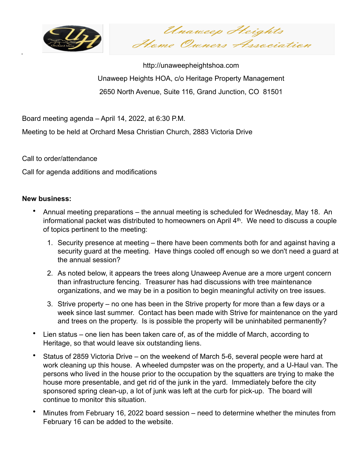

.

Unaweep Heights Home Owners Association

http://unaweepheightshoa.com Unaweep Heights HOA, c/o Heritage Property Management 2650 North Avenue, Suite 116, Grand Junction, CO 81501

Board meeting agenda – April 14, 2022, at 6:30 P.M.

Meeting to be held at Orchard Mesa Christian Church, 2883 Victoria Drive

Call to order/attendance

Call for agenda additions and modifications

## **New business:**

- Annual meeting preparations the annual meeting is scheduled for Wednesday, May 18. An informational packet was distributed to homeowners on April 4th. We need to discuss a couple of topics pertinent to the meeting:
	- 1. Security presence at meeting there have been comments both for and against having a security guard at the meeting. Have things cooled off enough so we don't need a guard at the annual session?
	- 2. As noted below, it appears the trees along Unaweep Avenue are a more urgent concern than infrastructure fencing. Treasurer has had discussions with tree maintenance organizations, and we may be in a position to begin meaningful activity on tree issues.
	- 3. Strive property no one has been in the Strive property for more than a few days or a week since last summer. Contact has been made with Strive for maintenance on the yard and trees on the property. Is is possible the property will be uninhabited permanently?
- Lien status one lien has been taken care of, as of the middle of March, according to Heritage, so that would leave six outstanding liens.
- Status of 2859 Victoria Drive on the weekend of March 5-6, several people were hard at work cleaning up this house. A wheeled dumpster was on the property, and a U-Haul van. The persons who lived in the house prior to the occupation by the squatters are trying to make the house more presentable, and get rid of the junk in the yard. Immediately before the city sponsored spring clean-up, a lot of junk was left at the curb for pick-up. The board will continue to monitor this situation.
- Minutes from February 16, 2022 board session need to determine whether the minutes from February 16 can be added to the website.